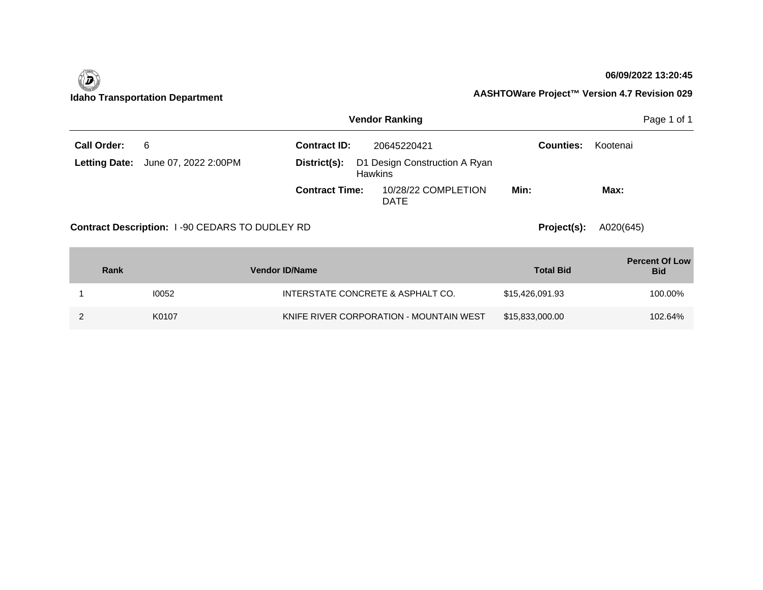|                      |                                                |                       | <b>Vendor Ranking</b>                           |                  | Page 1 of 1                         |
|----------------------|------------------------------------------------|-----------------------|-------------------------------------------------|------------------|-------------------------------------|
| <b>Call Order:</b>   | 6                                              | <b>Contract ID:</b>   | 20645220421                                     | <b>Counties:</b> | Kootenai                            |
| <b>Letting Date:</b> | June 07, 2022 2:00PM                           | District(s):          | D1 Design Construction A Ryan<br><b>Hawkins</b> |                  |                                     |
|                      |                                                | <b>Contract Time:</b> | 10/28/22 COMPLETION<br><b>DATE</b>              | Min:             | Max:                                |
|                      | Contract Description: 1-90 CEDARS TO DUDLEY RD |                       | Project(s):                                     | A020(645)        |                                     |
| <b>Rank</b>          |                                                | <b>Vendor ID/Name</b> |                                                 | <b>Total Bid</b> | <b>Percent Of Low</b><br><b>Bid</b> |
|                      | 10052                                          |                       | INTERSTATE CONCRETE & ASPHALT CO.               | \$15,426,091.93  | 100.00%                             |

2 K0107 KO107 KNIFE RIVER CORPORATION - MOUNTAIN WEST \$15,833,000.00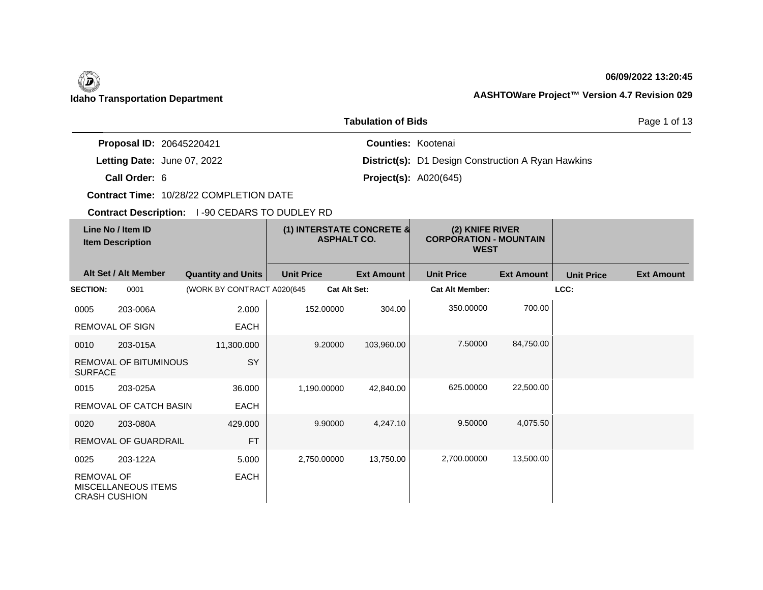| <b>Tabulation of Bids</b> |                                                    |  |                                                       |                                                 |                           |                                                                 |                   | Page 1 of 13      |                   |
|---------------------------|----------------------------------------------------|--|-------------------------------------------------------|-------------------------------------------------|---------------------------|-----------------------------------------------------------------|-------------------|-------------------|-------------------|
|                           | Proposal ID: 20645220421                           |  |                                                       |                                                 | <b>Counties: Kootenai</b> |                                                                 |                   |                   |                   |
|                           | Letting Date: June 07, 2022                        |  |                                                       |                                                 |                           | District(s): D1 Design Construction A Ryan Hawkins              |                   |                   |                   |
|                           | Call Order: 6                                      |  |                                                       |                                                 |                           | <b>Project(s): A020(645)</b>                                    |                   |                   |                   |
|                           |                                                    |  | <b>Contract Time: 10/28/22 COMPLETION DATE</b>        |                                                 |                           |                                                                 |                   |                   |                   |
|                           |                                                    |  | <b>Contract Description: 1-90 CEDARS TO DUDLEY RD</b> |                                                 |                           |                                                                 |                   |                   |                   |
|                           | Line No / Item ID<br><b>Item Description</b>       |  |                                                       | (1) INTERSTATE CONCRETE &<br><b>ASPHALT CO.</b> |                           | (2) KNIFE RIVER<br><b>CORPORATION - MOUNTAIN</b><br><b>WEST</b> |                   |                   |                   |
|                           | Alt Set / Alt Member                               |  | <b>Quantity and Units</b>                             | <b>Unit Price</b>                               | <b>Ext Amount</b>         | <b>Unit Price</b>                                               | <b>Ext Amount</b> | <b>Unit Price</b> | <b>Ext Amount</b> |
| <b>SECTION:</b>           | 0001                                               |  | (WORK BY CONTRACT A020(645                            | <b>Cat Alt Set:</b>                             |                           | <b>Cat Alt Member:</b>                                          |                   | LCC:              |                   |
| 0005                      | 203-006A                                           |  | 2.000                                                 | 152.00000                                       | 304.00                    | 350.00000                                                       | 700.00            |                   |                   |
|                           | <b>REMOVAL OF SIGN</b>                             |  | <b>EACH</b>                                           |                                                 |                           |                                                                 |                   |                   |                   |
| 0010                      | 203-015A                                           |  | 11,300.000                                            | 9.20000                                         | 103,960.00                | 7.50000                                                         | 84,750.00         |                   |                   |
| <b>SURFACE</b>            | REMOVAL OF BITUMINOUS                              |  | SY                                                    |                                                 |                           |                                                                 |                   |                   |                   |
| 0015                      | 203-025A                                           |  | 36.000                                                | 1,190.00000                                     | 42,840.00                 | 625.00000                                                       | 22,500.00         |                   |                   |
|                           | REMOVAL OF CATCH BASIN                             |  | <b>EACH</b>                                           |                                                 |                           |                                                                 |                   |                   |                   |
| 0020                      | 203-080A                                           |  | 429.000                                               | 9.90000                                         | 4.247.10                  | 9.50000                                                         | 4,075.50          |                   |                   |
|                           | REMOVAL OF GUARDRAIL                               |  | <b>FT</b>                                             |                                                 |                           |                                                                 |                   |                   |                   |
| 0025                      | 203-122A                                           |  | 5.000                                                 | 2,750.00000                                     | 13,750.00                 | 2,700.00000                                                     | 13,500.00         |                   |                   |
| <b>REMOVAL OF</b>         | <b>MISCELLANEOUS ITEMS</b><br><b>CRASH CUSHION</b> |  | <b>EACH</b>                                           |                                                 |                           |                                                                 |                   |                   |                   |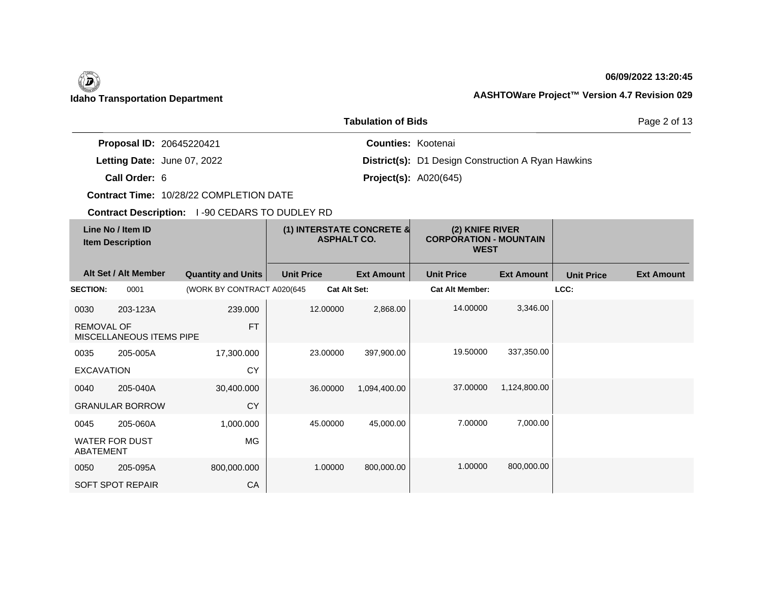| <b>Tabulation of Bids</b><br>Page 2 of 13 |                                              |                                                       |                                                 |                           |                                                                 |                   |                   |                   |  |
|-------------------------------------------|----------------------------------------------|-------------------------------------------------------|-------------------------------------------------|---------------------------|-----------------------------------------------------------------|-------------------|-------------------|-------------------|--|
|                                           | Proposal ID: 20645220421                     |                                                       |                                                 | <b>Counties: Kootenai</b> |                                                                 |                   |                   |                   |  |
|                                           | Letting Date: June 07, 2022                  |                                                       |                                                 |                           | <b>District(s):</b> D1 Design Construction A Ryan Hawkins       |                   |                   |                   |  |
|                                           | Call Order: 6                                |                                                       |                                                 |                           | <b>Project(s): A020(645)</b>                                    |                   |                   |                   |  |
|                                           |                                              | Contract Time: 10/28/22 COMPLETION DATE               |                                                 |                           |                                                                 |                   |                   |                   |  |
|                                           |                                              | <b>Contract Description: 1-90 CEDARS TO DUDLEY RD</b> |                                                 |                           |                                                                 |                   |                   |                   |  |
|                                           | Line No / Item ID<br><b>Item Description</b> |                                                       | (1) INTERSTATE CONCRETE &<br><b>ASPHALT CO.</b> |                           | (2) KNIFE RIVER<br><b>CORPORATION - MOUNTAIN</b><br><b>WEST</b> |                   |                   |                   |  |
|                                           | Alt Set / Alt Member                         | <b>Quantity and Units</b>                             | <b>Unit Price</b>                               | <b>Ext Amount</b>         | <b>Unit Price</b>                                               | <b>Ext Amount</b> | <b>Unit Price</b> | <b>Ext Amount</b> |  |
| <b>SECTION:</b>                           | 0001                                         | (WORK BY CONTRACT A020(645                            | <b>Cat Alt Set:</b>                             |                           | <b>Cat Alt Member:</b>                                          |                   | LCC:              |                   |  |
| 0030                                      | 203-123A                                     | 239.000                                               | 12.00000                                        | 2,868.00                  | 14.00000                                                        | 3,346.00          |                   |                   |  |
| <b>REMOVAL OF</b>                         | MISCELLANEOUS ITEMS PIPE                     | <b>FT</b>                                             |                                                 |                           |                                                                 |                   |                   |                   |  |
| 0035                                      | 205-005A                                     | 17,300.000                                            | 23.00000                                        | 397,900.00                | 19.50000                                                        | 337,350.00        |                   |                   |  |
| <b>EXCAVATION</b>                         |                                              | <b>CY</b>                                             |                                                 |                           |                                                                 |                   |                   |                   |  |
| 0040                                      | 205-040A                                     | 30,400.000                                            | 36.00000                                        | 1,094,400.00              | 37.00000                                                        | 1,124,800.00      |                   |                   |  |
|                                           | <b>GRANULAR BORROW</b>                       | <b>CY</b>                                             |                                                 |                           |                                                                 |                   |                   |                   |  |
| 0045                                      | 205-060A                                     | 1,000.000                                             | 45.00000                                        | 45,000.00                 | 7.00000                                                         | 7,000.00          |                   |                   |  |
| <b>ABATEMENT</b>                          | <b>WATER FOR DUST</b>                        | <b>MG</b>                                             |                                                 |                           |                                                                 |                   |                   |                   |  |
| 0050                                      | 205-095A                                     | 800,000.000                                           | 1.00000                                         | 800,000.00                | 1.00000                                                         | 800,000.00        |                   |                   |  |
|                                           | SOFT SPOT REPAIR                             | CA                                                    |                                                 |                           |                                                                 |                   |                   |                   |  |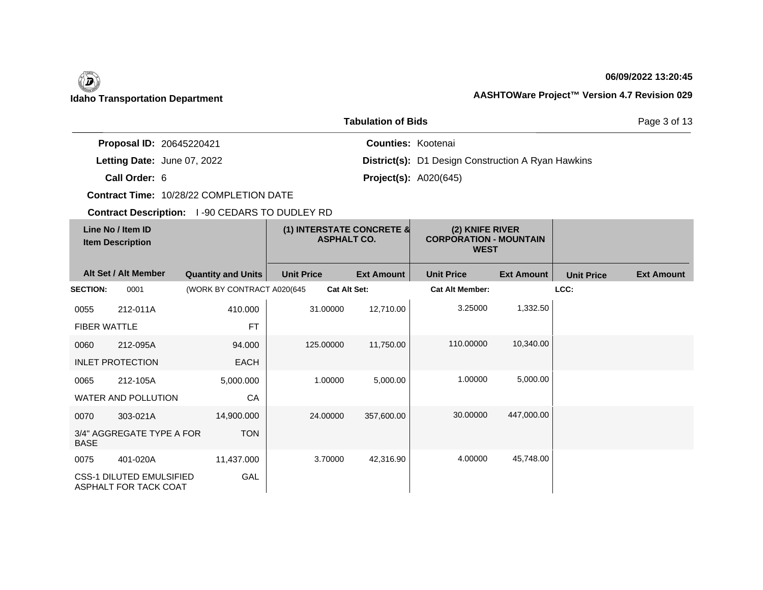| <b>Tabulation of Bids</b> |                                                          |                                                |                                                 |                           |                                                                 |                   |                   | Page 3 of 13      |
|---------------------------|----------------------------------------------------------|------------------------------------------------|-------------------------------------------------|---------------------------|-----------------------------------------------------------------|-------------------|-------------------|-------------------|
|                           | Proposal ID: 20645220421                                 |                                                |                                                 | <b>Counties: Kootenai</b> |                                                                 |                   |                   |                   |
|                           | Letting Date: June 07, 2022                              |                                                |                                                 |                           | <b>District(s):</b> D1 Design Construction A Ryan Hawkins       |                   |                   |                   |
|                           | Call Order: 6                                            |                                                |                                                 |                           | <b>Project(s): A020(645)</b>                                    |                   |                   |                   |
|                           |                                                          | Contract Time: 10/28/22 COMPLETION DATE        |                                                 |                           |                                                                 |                   |                   |                   |
|                           |                                                          | Contract Description: 1-90 CEDARS TO DUDLEY RD |                                                 |                           |                                                                 |                   |                   |                   |
|                           | Line No / Item ID<br><b>Item Description</b>             |                                                | (1) INTERSTATE CONCRETE &<br><b>ASPHALT CO.</b> |                           | (2) KNIFE RIVER<br><b>CORPORATION - MOUNTAIN</b><br><b>WEST</b> |                   |                   |                   |
|                           | Alt Set / Alt Member                                     | <b>Quantity and Units</b>                      | <b>Unit Price</b>                               | <b>Ext Amount</b>         | <b>Unit Price</b>                                               | <b>Ext Amount</b> | <b>Unit Price</b> | <b>Ext Amount</b> |
| <b>SECTION:</b>           | 0001                                                     | (WORK BY CONTRACT A020(645                     | <b>Cat Alt Set:</b>                             |                           | <b>Cat Alt Member:</b>                                          |                   | LCC:              |                   |
| 0055                      | 212-011A                                                 | 410.000                                        | 31.00000                                        | 12,710.00                 | 3.25000                                                         | 1,332.50          |                   |                   |
| <b>FIBER WATTLE</b>       |                                                          | <b>FT</b>                                      |                                                 |                           |                                                                 |                   |                   |                   |
| 0060                      | 212-095A                                                 | 94.000                                         | 125.00000                                       | 11,750.00                 | 110.00000                                                       | 10.340.00         |                   |                   |
|                           | <b>INLET PROTECTION</b>                                  | <b>EACH</b>                                    |                                                 |                           |                                                                 |                   |                   |                   |
| 0065                      | 212-105A                                                 | 5,000.000                                      | 1.00000                                         | 5,000.00                  | 1.00000                                                         | 5,000.00          |                   |                   |
|                           | WATER AND POLLUTION                                      | CA                                             |                                                 |                           |                                                                 |                   |                   |                   |
| 0070                      | 303-021A                                                 | 14,900.000                                     | 24.00000                                        | 357,600.00                | 30.00000                                                        | 447,000.00        |                   |                   |
| <b>BASE</b>               | 3/4" AGGREGATE TYPE A FOR                                | <b>TON</b>                                     |                                                 |                           |                                                                 |                   |                   |                   |
| 0075                      | 401-020A                                                 | 11,437.000                                     | 3.70000                                         | 42,316.90                 | 4.00000                                                         | 45,748.00         |                   |                   |
|                           | <b>CSS-1 DILUTED EMULSIFIED</b><br>ASPHALT FOR TACK COAT | GAL                                            |                                                 |                           |                                                                 |                   |                   |                   |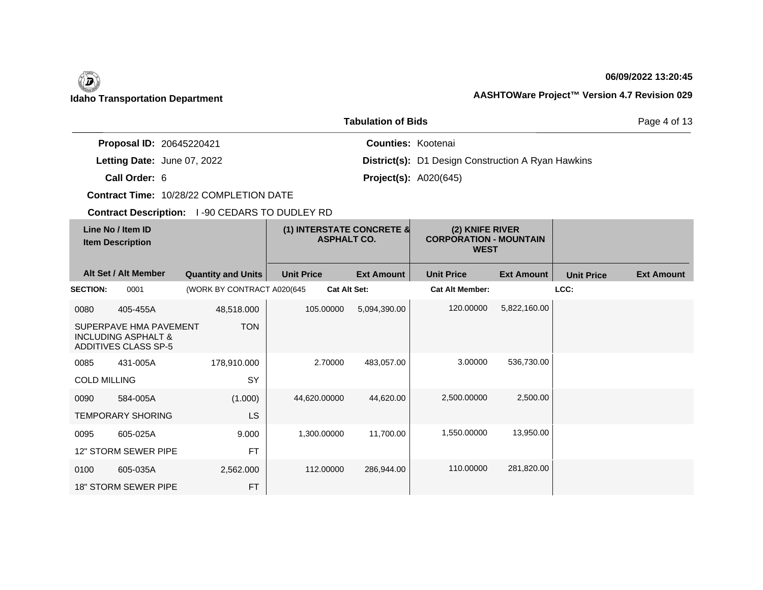| <b>Tabulation of Bids</b> |                                                                                         |                                                |                                                 |                           |                                                                 |                   |                   | Page 4 of 13      |
|---------------------------|-----------------------------------------------------------------------------------------|------------------------------------------------|-------------------------------------------------|---------------------------|-----------------------------------------------------------------|-------------------|-------------------|-------------------|
|                           | Proposal ID: 20645220421                                                                |                                                |                                                 | <b>Counties: Kootenai</b> |                                                                 |                   |                   |                   |
|                           | Letting Date: June 07, 2022                                                             |                                                |                                                 |                           | <b>District(s):</b> D1 Design Construction A Ryan Hawkins       |                   |                   |                   |
|                           | Call Order: 6                                                                           |                                                |                                                 |                           | <b>Project(s): A020(645)</b>                                    |                   |                   |                   |
|                           |                                                                                         | Contract Time: 10/28/22 COMPLETION DATE        |                                                 |                           |                                                                 |                   |                   |                   |
|                           |                                                                                         | Contract Description: 1-90 CEDARS TO DUDLEY RD |                                                 |                           |                                                                 |                   |                   |                   |
|                           | Line No / Item ID<br><b>Item Description</b>                                            |                                                | (1) INTERSTATE CONCRETE &<br><b>ASPHALT CO.</b> |                           | (2) KNIFE RIVER<br><b>CORPORATION - MOUNTAIN</b><br><b>WEST</b> |                   |                   |                   |
|                           | Alt Set / Alt Member                                                                    | <b>Quantity and Units</b>                      | <b>Unit Price</b>                               | <b>Ext Amount</b>         | <b>Unit Price</b>                                               | <b>Ext Amount</b> | <b>Unit Price</b> | <b>Ext Amount</b> |
| <b>SECTION:</b>           | 0001                                                                                    | (WORK BY CONTRACT A020(645)                    | <b>Cat Alt Set:</b>                             |                           | <b>Cat Alt Member:</b>                                          |                   | LCC:              |                   |
| 0080                      | 405-455A                                                                                | 48,518.000                                     | 105.00000                                       | 5,094,390.00              | 120.00000                                                       | 5,822,160.00      |                   |                   |
|                           | SUPERPAVE HMA PAVEMENT<br><b>INCLUDING ASPHALT &amp;</b><br><b>ADDITIVES CLASS SP-5</b> | <b>TON</b>                                     |                                                 |                           |                                                                 |                   |                   |                   |
| 0085                      | 431-005A                                                                                | 178,910.000                                    | 2.70000                                         | 483,057.00                | 3.00000                                                         | 536,730.00        |                   |                   |
| <b>COLD MILLING</b>       |                                                                                         | <b>SY</b>                                      |                                                 |                           |                                                                 |                   |                   |                   |
| 0090                      | 584-005A                                                                                | (1.000)                                        | 44,620.00000                                    | 44,620.00                 | 2.500.00000                                                     | 2,500.00          |                   |                   |
|                           | <b>TEMPORARY SHORING</b>                                                                | LS                                             |                                                 |                           |                                                                 |                   |                   |                   |
| 0095                      | 605-025A                                                                                | 9.000                                          | 1,300.00000                                     | 11,700.00                 | 1,550.00000                                                     | 13,950.00         |                   |                   |
|                           | 12" STORM SEWER PIPE                                                                    | <b>FT</b>                                      |                                                 |                           |                                                                 |                   |                   |                   |
| 0100                      | 605-035A                                                                                | 2,562.000                                      | 112.00000                                       | 286,944.00                | 110.00000                                                       | 281,820.00        |                   |                   |
|                           | <b>18" STORM SEWER PIPE</b>                                                             | <b>FT</b>                                      |                                                 |                           |                                                                 |                   |                   |                   |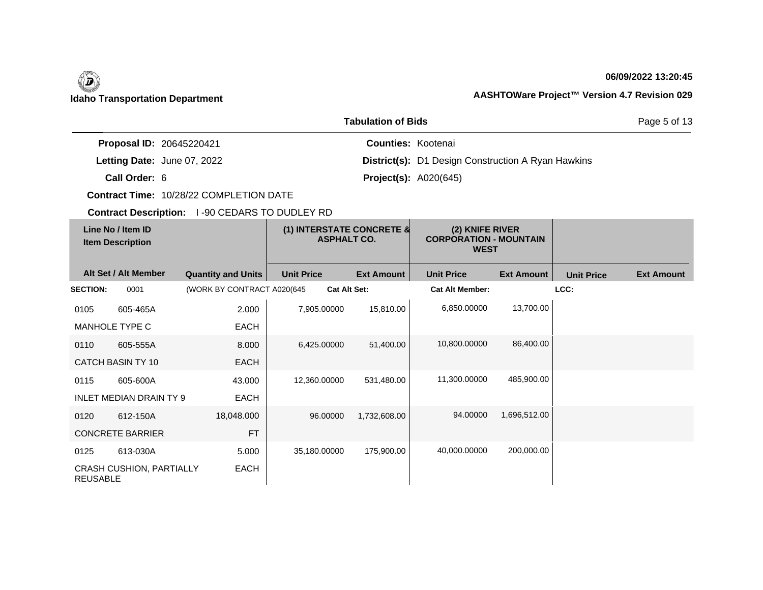| <b>Tabulation of Bids</b> |                                              |                                                |                                                 |                              |                                                                 |                   |                   | Page 5 of 13      |
|---------------------------|----------------------------------------------|------------------------------------------------|-------------------------------------------------|------------------------------|-----------------------------------------------------------------|-------------------|-------------------|-------------------|
|                           | Proposal ID: 20645220421                     |                                                |                                                 | <b>Counties: Kootenai</b>    |                                                                 |                   |                   |                   |
|                           | Letting Date: June 07, 2022                  |                                                |                                                 |                              | <b>District(s):</b> D1 Design Construction A Ryan Hawkins       |                   |                   |                   |
|                           | Call Order: 6                                |                                                |                                                 | <b>Project(s): A020(645)</b> |                                                                 |                   |                   |                   |
|                           |                                              | <b>Contract Time: 10/28/22 COMPLETION DATE</b> |                                                 |                              |                                                                 |                   |                   |                   |
|                           |                                              | Contract Description: 1-90 CEDARS TO DUDLEY RD |                                                 |                              |                                                                 |                   |                   |                   |
|                           | Line No / Item ID<br><b>Item Description</b> |                                                | (1) INTERSTATE CONCRETE &<br><b>ASPHALT CO.</b> |                              | (2) KNIFE RIVER<br><b>CORPORATION - MOUNTAIN</b><br><b>WEST</b> |                   |                   |                   |
|                           | Alt Set / Alt Member                         | <b>Quantity and Units</b>                      | <b>Unit Price</b>                               | <b>Ext Amount</b>            | <b>Unit Price</b>                                               | <b>Ext Amount</b> | <b>Unit Price</b> | <b>Ext Amount</b> |
| <b>SECTION:</b>           | 0001                                         | (WORK BY CONTRACT A020(645                     | <b>Cat Alt Set:</b>                             |                              | <b>Cat Alt Member:</b>                                          |                   | LCC:              |                   |
| 0105                      | 605-465A                                     | 2.000                                          | 7,905.00000                                     | 15,810.00                    | 6,850.00000                                                     | 13,700.00         |                   |                   |
|                           | <b>MANHOLE TYPE C</b>                        | <b>EACH</b>                                    |                                                 |                              |                                                                 |                   |                   |                   |
| 0110                      | 605-555A                                     | 8.000                                          | 6,425.00000                                     | 51,400.00                    | 10,800.00000                                                    | 86,400.00         |                   |                   |
|                           | <b>CATCH BASIN TY 10</b>                     | <b>EACH</b>                                    |                                                 |                              |                                                                 |                   |                   |                   |
| 0115                      | 605-600A                                     | 43.000                                         | 12,360.00000                                    | 531,480.00                   | 11,300.00000                                                    | 485,900.00        |                   |                   |
|                           | <b>INLET MEDIAN DRAIN TY 9</b>               | <b>EACH</b>                                    |                                                 |                              |                                                                 |                   |                   |                   |
| 0120                      | 612-150A                                     | 18,048.000                                     | 96.00000                                        | 1,732,608.00                 | 94.00000                                                        | 1,696,512.00      |                   |                   |
|                           | <b>CONCRETE BARRIER</b>                      | <b>FT</b>                                      |                                                 |                              |                                                                 |                   |                   |                   |
| 0125                      | 613-030A                                     | 5.000                                          | 35,180.00000                                    | 175,900.00                   | 40,000.00000                                                    | 200,000.00        |                   |                   |
| <b>REUSABLE</b>           | CRASH CUSHION, PARTIALLY                     | <b>EACH</b>                                    |                                                 |                              |                                                                 |                   |                   |                   |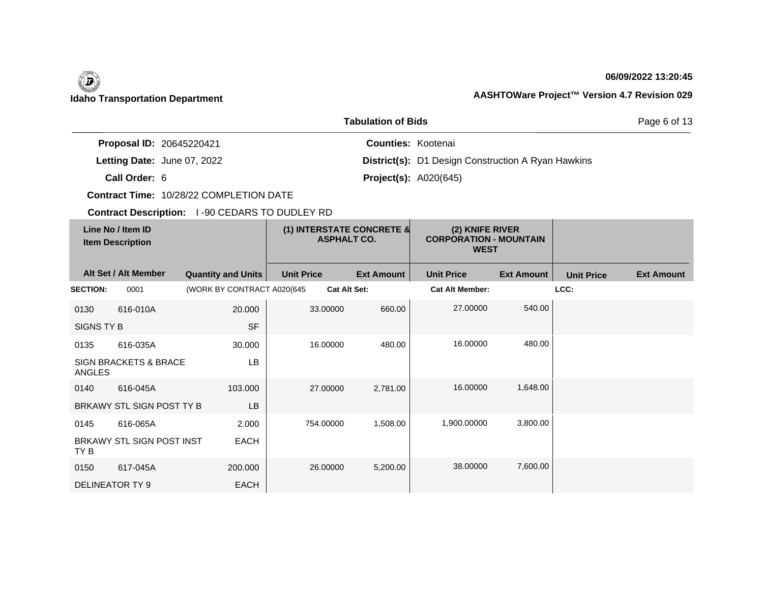| <b>Tabulation of Bids</b> |                                              |                                                       |                                                 |                           |                                                                 |                   |                   |                   |
|---------------------------|----------------------------------------------|-------------------------------------------------------|-------------------------------------------------|---------------------------|-----------------------------------------------------------------|-------------------|-------------------|-------------------|
|                           | Proposal ID: 20645220421                     |                                                       |                                                 | <b>Counties: Kootenai</b> |                                                                 |                   |                   |                   |
|                           | Letting Date: June 07, 2022                  |                                                       |                                                 |                           | District(s): D1 Design Construction A Ryan Hawkins              |                   |                   |                   |
|                           | Call Order: 6                                |                                                       |                                                 |                           | <b>Project(s): A020(645)</b>                                    |                   |                   |                   |
|                           |                                              | Contract Time: 10/28/22 COMPLETION DATE               |                                                 |                           |                                                                 |                   |                   |                   |
|                           |                                              | <b>Contract Description: 1-90 CEDARS TO DUDLEY RD</b> |                                                 |                           |                                                                 |                   |                   |                   |
|                           | Line No / Item ID<br><b>Item Description</b> |                                                       | (1) INTERSTATE CONCRETE &<br><b>ASPHALT CO.</b> |                           | (2) KNIFE RIVER<br><b>CORPORATION - MOUNTAIN</b><br><b>WEST</b> |                   |                   |                   |
|                           | Alt Set / Alt Member                         | <b>Quantity and Units</b>                             | <b>Unit Price</b>                               | <b>Ext Amount</b>         | <b>Unit Price</b>                                               | <b>Ext Amount</b> | <b>Unit Price</b> | <b>Ext Amount</b> |
| <b>SECTION:</b>           | 0001                                         | (WORK BY CONTRACT A020(645                            | <b>Cat Alt Set:</b>                             |                           | <b>Cat Alt Member:</b>                                          |                   | LCC:              |                   |
| 0130                      | 616-010A                                     | 20.000                                                | 33.00000                                        | 660.00                    | 27.00000                                                        | 540.00            |                   |                   |
| <b>SIGNS TY B</b>         |                                              | <b>SF</b>                                             |                                                 |                           |                                                                 |                   |                   |                   |
| 0135                      | 616-035A                                     | 30.000                                                | 16.00000                                        | 480.00                    | 16.00000                                                        | 480.00            |                   |                   |
| <b>ANGLES</b>             | <b>SIGN BRACKETS &amp; BRACE</b>             | <b>LB</b>                                             |                                                 |                           |                                                                 |                   |                   |                   |
| 0140                      | 616-045A                                     | 103.000                                               | 27,00000                                        | 2.781.00                  | 16.00000                                                        | 1,648.00          |                   |                   |
|                           | BRKAWY STL SIGN POST TY B                    | <b>LB</b>                                             |                                                 |                           |                                                                 |                   |                   |                   |
| 0145                      | 616-065A                                     | 2.000                                                 | 754.00000                                       | 1,508.00                  | 1,900.00000                                                     | 3,800.00          |                   |                   |
| TY B                      | BRKAWY STL SIGN POST INST                    | <b>EACH</b>                                           |                                                 |                           |                                                                 |                   |                   |                   |
| 0150                      | 617-045A                                     | 200.000                                               | 26.00000                                        | 5,200.00                  | 38.00000                                                        | 7,600.00          |                   |                   |
|                           | <b>DELINEATOR TY 9</b>                       | <b>EACH</b>                                           |                                                 |                           |                                                                 |                   |                   |                   |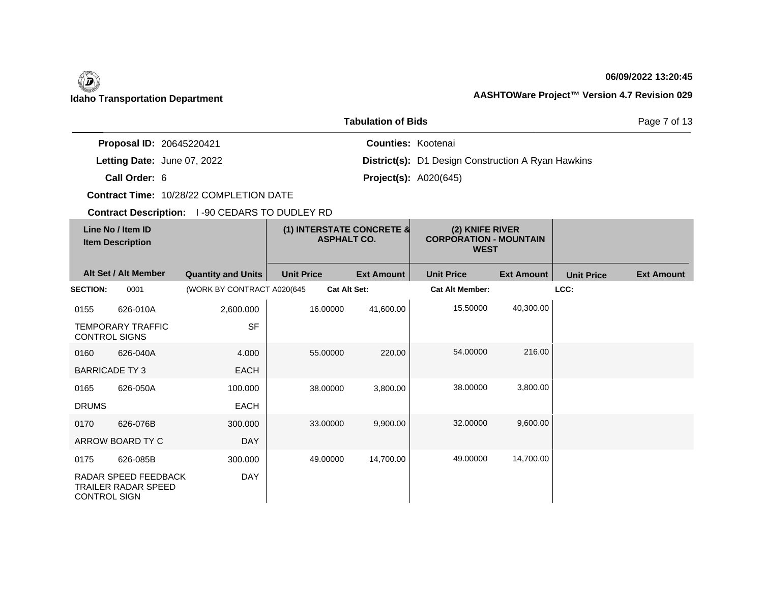| <b>Tabulation of Bids</b> |                                                    |                                                |                                                 |                           |                                                                 |                   |                   | Page 7 of 13      |
|---------------------------|----------------------------------------------------|------------------------------------------------|-------------------------------------------------|---------------------------|-----------------------------------------------------------------|-------------------|-------------------|-------------------|
|                           | Proposal ID: 20645220421                           |                                                |                                                 | <b>Counties: Kootenai</b> |                                                                 |                   |                   |                   |
|                           | Letting Date: June 07, 2022                        |                                                |                                                 |                           | District(s): D1 Design Construction A Ryan Hawkins              |                   |                   |                   |
|                           | Call Order: 6                                      |                                                |                                                 |                           | <b>Project(s): A020(645)</b>                                    |                   |                   |                   |
|                           |                                                    | Contract Time: 10/28/22 COMPLETION DATE        |                                                 |                           |                                                                 |                   |                   |                   |
|                           |                                                    | Contract Description: 1-90 CEDARS TO DUDLEY RD |                                                 |                           |                                                                 |                   |                   |                   |
|                           | Line No / Item ID<br><b>Item Description</b>       |                                                | (1) INTERSTATE CONCRETE &<br><b>ASPHALT CO.</b> |                           | (2) KNIFE RIVER<br><b>CORPORATION - MOUNTAIN</b><br><b>WEST</b> |                   |                   |                   |
|                           | Alt Set / Alt Member                               | <b>Quantity and Units</b>                      | <b>Unit Price</b>                               | <b>Ext Amount</b>         | <b>Unit Price</b>                                               | <b>Ext Amount</b> | <b>Unit Price</b> | <b>Ext Amount</b> |
| <b>SECTION:</b>           | 0001                                               | (WORK BY CONTRACT A020(645                     | <b>Cat Alt Set:</b>                             |                           | <b>Cat Alt Member:</b>                                          |                   | LCC:              |                   |
| 0155                      | 626-010A                                           | 2,600.000                                      | 16.00000                                        | 41,600.00                 | 15.50000                                                        | 40,300.00         |                   |                   |
|                           | <b>TEMPORARY TRAFFIC</b><br><b>CONTROL SIGNS</b>   | <b>SF</b>                                      |                                                 |                           |                                                                 |                   |                   |                   |
| 0160                      | 626-040A                                           | 4.000                                          | 55.00000                                        | 220.00                    | 54.00000                                                        | 216.00            |                   |                   |
|                           | <b>BARRICADE TY3</b>                               | <b>EACH</b>                                    |                                                 |                           |                                                                 |                   |                   |                   |
| 0165                      | 626-050A                                           | 100.000                                        | 38,00000                                        | 3,800.00                  | 38.00000                                                        | 3,800.00          |                   |                   |
| <b>DRUMS</b>              |                                                    | <b>EACH</b>                                    |                                                 |                           |                                                                 |                   |                   |                   |
| 0170                      | 626-076B                                           | 300,000                                        | 33.00000                                        | 9,900.00                  | 32.00000                                                        | 9,600.00          |                   |                   |
|                           | ARROW BOARD TY C                                   | <b>DAY</b>                                     |                                                 |                           |                                                                 |                   |                   |                   |
| 0175                      | 626-085B                                           | 300.000                                        | 49.00000                                        | 14,700.00                 | 49.00000                                                        | 14,700.00         |                   |                   |
| <b>CONTROL SIGN</b>       | RADAR SPEED FEEDBACK<br><b>TRAILER RADAR SPEED</b> | <b>DAY</b>                                     |                                                 |                           |                                                                 |                   |                   |                   |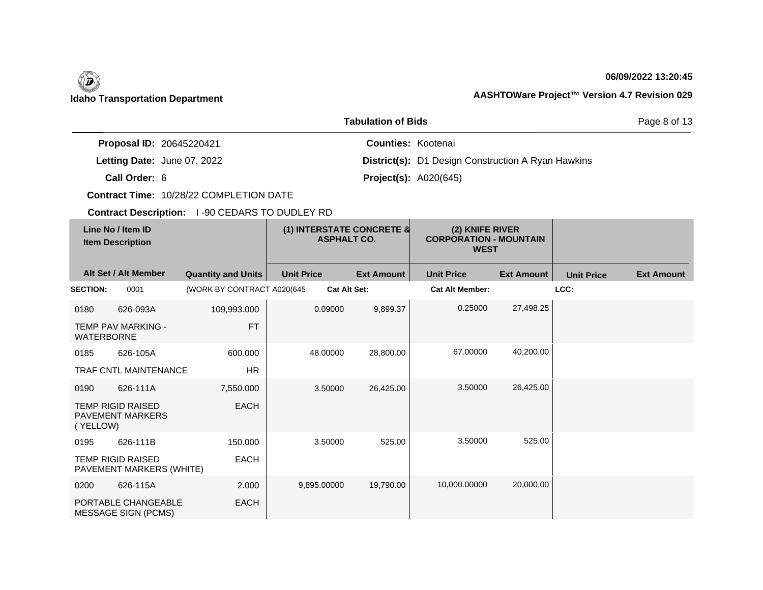| <b>Tabulation of Bids</b> |                                                      |                                                       |                                                 |                           |                                                                 |                   |                   |                   |
|---------------------------|------------------------------------------------------|-------------------------------------------------------|-------------------------------------------------|---------------------------|-----------------------------------------------------------------|-------------------|-------------------|-------------------|
|                           | Proposal ID: 20645220421                             |                                                       |                                                 | <b>Counties: Kootenai</b> |                                                                 |                   |                   |                   |
|                           | Letting Date: June 07, 2022                          |                                                       |                                                 |                           | <b>District(s):</b> D1 Design Construction A Ryan Hawkins       |                   |                   |                   |
|                           | Call Order: 6                                        |                                                       |                                                 |                           | <b>Project(s): A020(645)</b>                                    |                   |                   |                   |
|                           |                                                      | Contract Time: 10/28/22 COMPLETION DATE               |                                                 |                           |                                                                 |                   |                   |                   |
|                           |                                                      | <b>Contract Description: 1-90 CEDARS TO DUDLEY RD</b> |                                                 |                           |                                                                 |                   |                   |                   |
|                           | Line No / Item ID<br><b>Item Description</b>         |                                                       | (1) INTERSTATE CONCRETE &<br><b>ASPHALT CO.</b> |                           | (2) KNIFE RIVER<br><b>CORPORATION - MOUNTAIN</b><br><b>WEST</b> |                   |                   |                   |
|                           | Alt Set / Alt Member                                 | <b>Quantity and Units</b>                             | <b>Unit Price</b>                               | <b>Ext Amount</b>         | <b>Unit Price</b>                                               | <b>Ext Amount</b> | <b>Unit Price</b> | <b>Ext Amount</b> |
| <b>SECTION:</b>           | 0001                                                 | (WORK BY CONTRACT A020(645                            | <b>Cat Alt Set:</b>                             |                           | <b>Cat Alt Member:</b>                                          |                   | LCC:              |                   |
| 0180                      | 626-093A                                             | 109,993.000                                           | 0.09000                                         | 9,899.37                  | 0.25000                                                         | 27,498.25         |                   |                   |
| <b>WATERBORNE</b>         | <b>TEMP PAV MARKING -</b>                            | <b>FT</b>                                             |                                                 |                           |                                                                 |                   |                   |                   |
| 0185                      | 626-105A                                             | 600.000                                               | 48.00000                                        | 28,800.00                 | 67.00000                                                        | 40,200.00         |                   |                   |
|                           | TRAF CNTL MAINTENANCE                                | <b>HR</b>                                             |                                                 |                           |                                                                 |                   |                   |                   |
| 0190                      | 626-111A                                             | 7,550.000                                             | 3.50000                                         | 26,425.00                 | 3.50000                                                         | 26,425.00         |                   |                   |
| (YELLOW)                  | <b>TEMP RIGID RAISED</b><br><b>PAVEMENT MARKERS</b>  | <b>EACH</b>                                           |                                                 |                           |                                                                 |                   |                   |                   |
| 0195                      | 626-111B                                             | 150.000                                               | 3.50000                                         | 525.00                    | 3.50000                                                         | 525.00            |                   |                   |
|                           | <b>TEMP RIGID RAISED</b><br>PAVEMENT MARKERS (WHITE) | <b>EACH</b>                                           |                                                 |                           |                                                                 |                   |                   |                   |
| 0200                      | 626-115A                                             | 2.000                                                 | 9,895.00000                                     | 19,790.00                 | 10,000.00000                                                    | 20,000.00         |                   |                   |
|                           | PORTABLE CHANGEABLE<br><b>MESSAGE SIGN (PCMS)</b>    | <b>EACH</b>                                           |                                                 |                           |                                                                 |                   |                   |                   |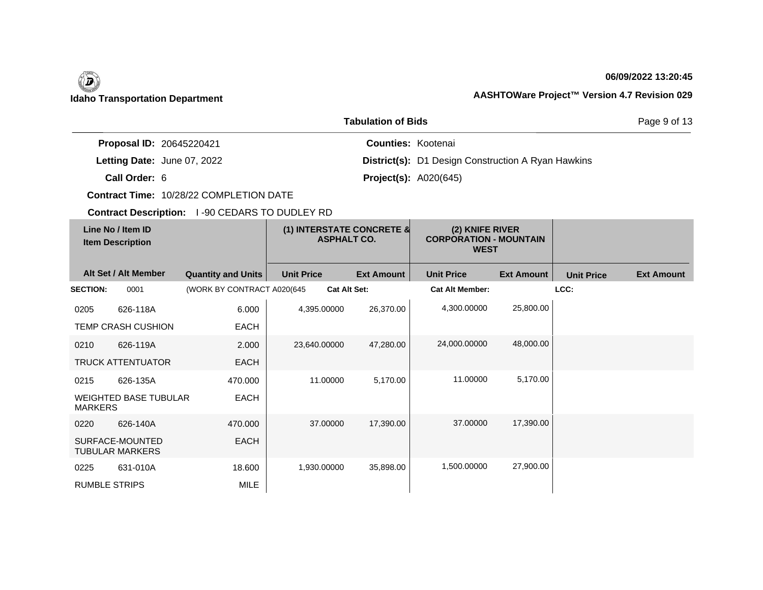| <b>Tabulation of Bids</b> |                                              |                                                |                                                 |                           |                                                                 |                   |                   | Page 9 of 13      |
|---------------------------|----------------------------------------------|------------------------------------------------|-------------------------------------------------|---------------------------|-----------------------------------------------------------------|-------------------|-------------------|-------------------|
|                           | Proposal ID: 20645220421                     |                                                |                                                 | <b>Counties: Kootenai</b> |                                                                 |                   |                   |                   |
|                           | Letting Date: June 07, 2022                  |                                                |                                                 |                           | District(s): D1 Design Construction A Ryan Hawkins              |                   |                   |                   |
|                           | Call Order: 6                                |                                                |                                                 |                           | <b>Project(s): A020(645)</b>                                    |                   |                   |                   |
|                           |                                              | Contract Time: 10/28/22 COMPLETION DATE        |                                                 |                           |                                                                 |                   |                   |                   |
|                           |                                              | Contract Description: 1-90 CEDARS TO DUDLEY RD |                                                 |                           |                                                                 |                   |                   |                   |
|                           | Line No / Item ID<br><b>Item Description</b> |                                                | (1) INTERSTATE CONCRETE &<br><b>ASPHALT CO.</b> |                           | (2) KNIFE RIVER<br><b>CORPORATION - MOUNTAIN</b><br><b>WEST</b> |                   |                   |                   |
|                           | Alt Set / Alt Member                         | <b>Quantity and Units</b>                      | <b>Unit Price</b>                               | <b>Ext Amount</b>         | <b>Unit Price</b>                                               | <b>Ext Amount</b> | <b>Unit Price</b> | <b>Ext Amount</b> |
| <b>SECTION:</b>           | 0001                                         | (WORK BY CONTRACT A020(645)                    | Cat Alt Set:                                    |                           | <b>Cat Alt Member:</b>                                          |                   | LCC:              |                   |
| 0205                      | 626-118A                                     | 6.000                                          | 4,395.00000                                     | 26,370.00                 | 4,300.00000                                                     | 25,800.00         |                   |                   |
|                           | TEMP CRASH CUSHION                           | <b>EACH</b>                                    |                                                 |                           |                                                                 |                   |                   |                   |
| 0210                      | 626-119A                                     | 2.000                                          | 23,640.00000                                    | 47,280.00                 | 24,000.00000                                                    | 48,000.00         |                   |                   |
|                           | <b>TRUCK ATTENTUATOR</b>                     | <b>EACH</b>                                    |                                                 |                           |                                                                 |                   |                   |                   |
| 0215                      | 626-135A                                     | 470.000                                        | 11.00000                                        | 5,170.00                  | 11.00000                                                        | 5,170.00          |                   |                   |
| <b>MARKERS</b>            | <b>WEIGHTED BASE TUBULAR</b>                 | <b>EACH</b>                                    |                                                 |                           |                                                                 |                   |                   |                   |
| 0220                      | 626-140A                                     | 470.000                                        | 37,00000                                        | 17,390.00                 | 37.00000                                                        | 17,390.00         |                   |                   |
|                           | SURFACE-MOUNTED<br><b>TUBULAR MARKERS</b>    | <b>EACH</b>                                    |                                                 |                           |                                                                 |                   |                   |                   |
| 0225                      | 631-010A                                     | 18.600                                         | 1,930.00000                                     | 35,898.00                 | 1,500.00000                                                     | 27,900.00         |                   |                   |
| <b>RUMBLE STRIPS</b>      |                                              | <b>MILE</b>                                    |                                                 |                           |                                                                 |                   |                   |                   |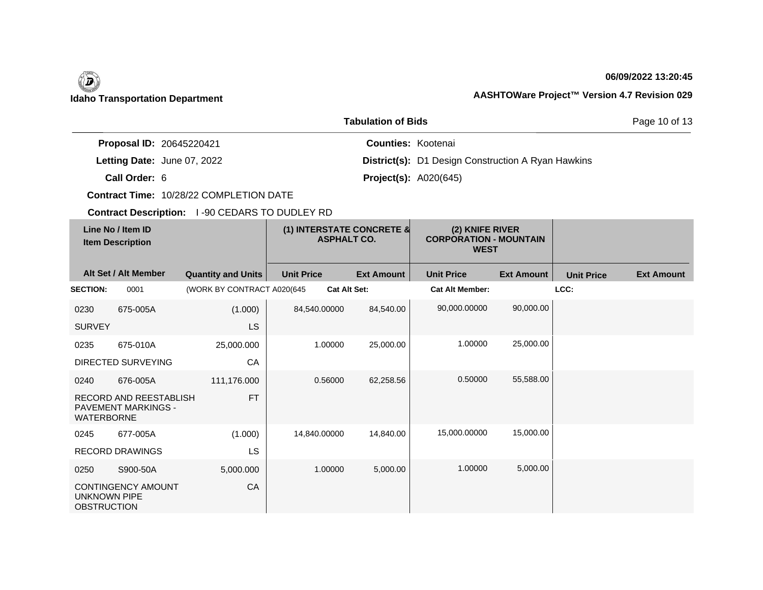

| <b>Tabulation of Bids</b><br>Page 10 of 13 |                                                             |                                         |                                                 |                           |                                                                 |                   |                   |                   |
|--------------------------------------------|-------------------------------------------------------------|-----------------------------------------|-------------------------------------------------|---------------------------|-----------------------------------------------------------------|-------------------|-------------------|-------------------|
|                                            | Proposal ID: 20645220421                                    |                                         |                                                 | <b>Counties: Kootenai</b> |                                                                 |                   |                   |                   |
|                                            | Letting Date: June 07, 2022                                 |                                         |                                                 |                           | <b>District(s):</b> D1 Design Construction A Ryan Hawkins       |                   |                   |                   |
|                                            | Call Order: 6                                               |                                         |                                                 |                           | <b>Project(s): A020(645)</b>                                    |                   |                   |                   |
|                                            |                                                             | Contract Time: 10/28/22 COMPLETION DATE |                                                 |                           |                                                                 |                   |                   |                   |
|                                            | Contract Description: 1-90 CEDARS TO DUDLEY RD              |                                         |                                                 |                           |                                                                 |                   |                   |                   |
|                                            | Line No / Item ID<br><b>Item Description</b>                |                                         | (1) INTERSTATE CONCRETE &<br><b>ASPHALT CO.</b> |                           | (2) KNIFE RIVER<br><b>CORPORATION - MOUNTAIN</b><br><b>WEST</b> |                   |                   |                   |
|                                            | Alt Set / Alt Member                                        | <b>Quantity and Units</b>               | <b>Unit Price</b>                               | <b>Ext Amount</b>         | <b>Unit Price</b>                                               | <b>Ext Amount</b> | <b>Unit Price</b> | <b>Ext Amount</b> |
| <b>SECTION:</b>                            | 0001                                                        | (WORK BY CONTRACT A020(645              | <b>Cat Alt Set:</b>                             |                           | <b>Cat Alt Member:</b>                                          |                   | LCC:              |                   |
| 0230                                       | 675-005A                                                    | (1.000)                                 | 84,540.00000                                    | 84,540.00                 | 90,000.00000                                                    | 90,000.00         |                   |                   |
| <b>SURVEY</b>                              |                                                             | <b>LS</b>                               |                                                 |                           |                                                                 |                   |                   |                   |
| 0235                                       | 675-010A                                                    | 25,000.000                              | 1.00000                                         | 25,000.00                 | 1.00000                                                         | 25,000.00         |                   |                   |
|                                            | DIRECTED SURVEYING                                          | CA                                      |                                                 |                           |                                                                 |                   |                   |                   |
| 0240                                       | 676-005A                                                    | 111,176.000                             | 0.56000                                         | 62,258.56                 | 0.50000                                                         | 55,588.00         |                   |                   |
| <b>WATERBORNE</b>                          | <b>RECORD AND REESTABLISH</b><br><b>PAVEMENT MARKINGS -</b> | <b>FT</b>                               |                                                 |                           |                                                                 |                   |                   |                   |
| 0245                                       | 677-005A                                                    | (1.000)                                 | 14,840.00000                                    | 14,840.00                 | 15,000.00000                                                    | 15,000.00         |                   |                   |
|                                            | <b>RECORD DRAWINGS</b>                                      | LS                                      |                                                 |                           |                                                                 |                   |                   |                   |
| 0250                                       | S900-50A                                                    | 5,000.000                               | 1.00000                                         | 5,000.00                  | 1.00000                                                         | 5.000.00          |                   |                   |
| <b>UNKNOWN PIPE</b><br><b>OBSTRUCTION</b>  | <b>CONTINGENCY AMOUNT</b>                                   | CA                                      |                                                 |                           |                                                                 |                   |                   |                   |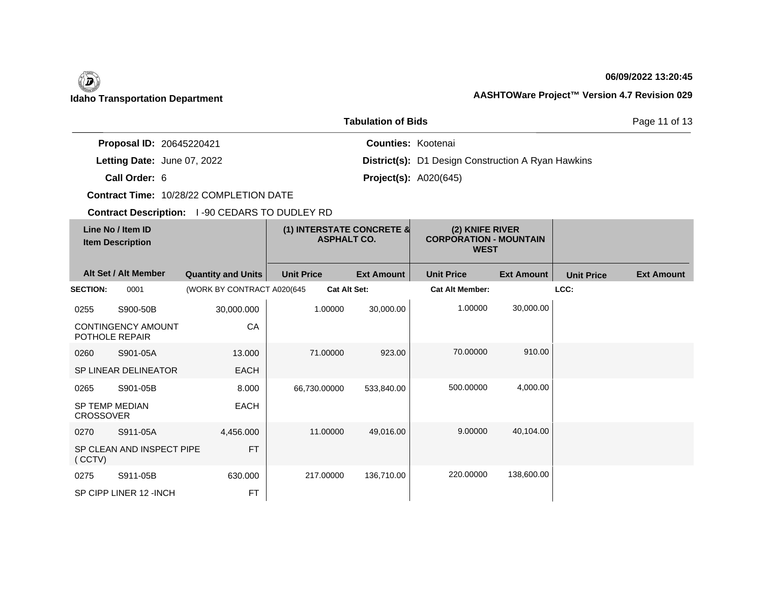

| <b>Tabulation of Bids</b> |                                              |                                                       |                                                 |                           |                                                                 |                   |                   | Page 11 of 13     |
|---------------------------|----------------------------------------------|-------------------------------------------------------|-------------------------------------------------|---------------------------|-----------------------------------------------------------------|-------------------|-------------------|-------------------|
|                           | Proposal ID: 20645220421                     |                                                       |                                                 | <b>Counties: Kootenai</b> |                                                                 |                   |                   |                   |
|                           | Letting Date: June 07, 2022                  |                                                       |                                                 |                           | <b>District(s):</b> D1 Design Construction A Ryan Hawkins       |                   |                   |                   |
|                           | Call Order: 6                                |                                                       |                                                 |                           | <b>Project(s): A020(645)</b>                                    |                   |                   |                   |
|                           |                                              | Contract Time: 10/28/22 COMPLETION DATE               |                                                 |                           |                                                                 |                   |                   |                   |
|                           |                                              | <b>Contract Description: 1-90 CEDARS TO DUDLEY RD</b> |                                                 |                           |                                                                 |                   |                   |                   |
|                           | Line No / Item ID<br><b>Item Description</b> |                                                       | (1) INTERSTATE CONCRETE &<br><b>ASPHALT CO.</b> |                           | (2) KNIFE RIVER<br><b>CORPORATION - MOUNTAIN</b><br><b>WEST</b> |                   |                   |                   |
|                           | Alt Set / Alt Member                         | <b>Quantity and Units</b>                             | <b>Unit Price</b>                               | <b>Ext Amount</b>         | <b>Unit Price</b>                                               | <b>Ext Amount</b> | <b>Unit Price</b> | <b>Ext Amount</b> |
| <b>SECTION:</b>           | 0001                                         | (WORK BY CONTRACT A020(645                            | <b>Cat Alt Set:</b>                             |                           | <b>Cat Alt Member:</b>                                          |                   | LCC:              |                   |
| 0255                      | S900-50B                                     | 30,000.000                                            | 1.00000                                         | 30,000.00                 | 1.00000                                                         | 30,000.00         |                   |                   |
|                           | <b>CONTINGENCY AMOUNT</b><br>POTHOLE REPAIR  | CA                                                    |                                                 |                           |                                                                 |                   |                   |                   |
| 0260                      | S901-05A                                     | 13.000                                                | 71.00000                                        | 923.00                    | 70.00000                                                        | 910.00            |                   |                   |
|                           | <b>SP LINEAR DELINEATOR</b>                  | <b>EACH</b>                                           |                                                 |                           |                                                                 |                   |                   |                   |
| 0265                      | S901-05B                                     | 8.000                                                 | 66,730.00000                                    | 533,840.00                | 500.00000                                                       | 4,000.00          |                   |                   |
| <b>CROSSOVER</b>          | <b>SP TEMP MEDIAN</b>                        | <b>EACH</b>                                           |                                                 |                           |                                                                 |                   |                   |                   |
| 0270                      | S911-05A                                     | 4,456.000                                             | 11.00000                                        | 49.016.00                 | 9.00000                                                         | 40,104.00         |                   |                   |
| (CCTV)                    | SP CLEAN AND INSPECT PIPE                    | <b>FT</b>                                             |                                                 |                           |                                                                 |                   |                   |                   |
| 0275                      | S911-05B                                     | 630.000                                               | 217.00000                                       | 136,710.00                | 220.00000                                                       | 138,600.00        |                   |                   |
|                           | SP CIPP LINER 12 - INCH                      | <b>FT</b>                                             |                                                 |                           |                                                                 |                   |                   |                   |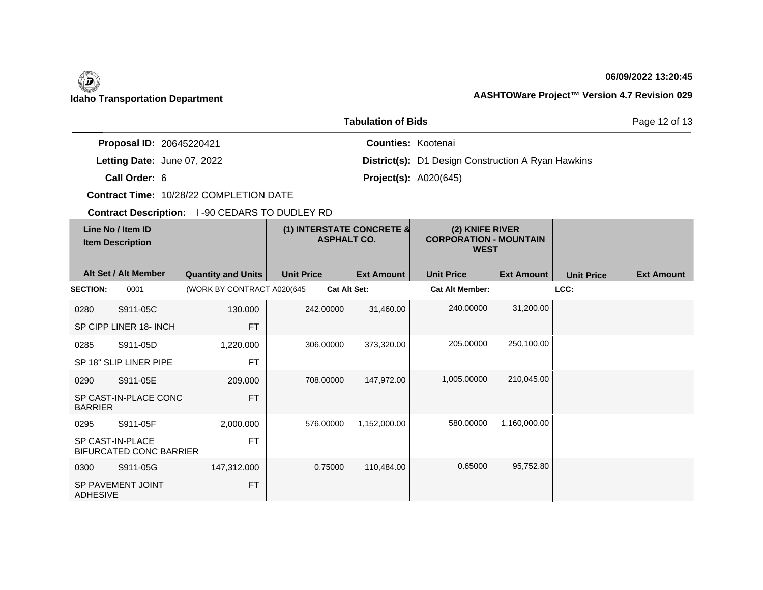

| <b>Tabulation of Bids</b>                                |                        |                                                       |                                                           |                                                                 |                              |                   |                   |                   |  |
|----------------------------------------------------------|------------------------|-------------------------------------------------------|-----------------------------------------------------------|-----------------------------------------------------------------|------------------------------|-------------------|-------------------|-------------------|--|
| Proposal ID: 20645220421                                 |                        |                                                       | <b>Counties: Kootenai</b>                                 |                                                                 |                              |                   |                   |                   |  |
| Letting Date: June 07, 2022                              |                        |                                                       | <b>District(s):</b> D1 Design Construction A Ryan Hawkins |                                                                 |                              |                   |                   |                   |  |
|                                                          | Call Order: 6          |                                                       |                                                           |                                                                 | <b>Project(s): A020(645)</b> |                   |                   |                   |  |
|                                                          |                        | Contract Time: 10/28/22 COMPLETION DATE               |                                                           |                                                                 |                              |                   |                   |                   |  |
|                                                          |                        | <b>Contract Description: 1-90 CEDARS TO DUDLEY RD</b> |                                                           |                                                                 |                              |                   |                   |                   |  |
| Line No / Item ID<br><b>Item Description</b>             |                        | (1) INTERSTATE CONCRETE &<br><b>ASPHALT CO.</b>       |                                                           | (2) KNIFE RIVER<br><b>CORPORATION - MOUNTAIN</b><br><b>WEST</b> |                              |                   |                   |                   |  |
|                                                          | Alt Set / Alt Member   | <b>Quantity and Units</b>                             | <b>Unit Price</b>                                         | <b>Ext Amount</b>                                               | <b>Unit Price</b>            | <b>Ext Amount</b> | <b>Unit Price</b> | <b>Ext Amount</b> |  |
| <b>SECTION:</b>                                          | 0001                   | (WORK BY CONTRACT A020(645                            | Cat Alt Set:                                              |                                                                 | <b>Cat Alt Member:</b>       |                   | LCC:              |                   |  |
| 0280                                                     | S911-05C               | 130.000                                               | 242.00000                                                 | 31,460.00                                                       | 240.00000                    | 31,200.00         |                   |                   |  |
|                                                          | SP CIPP LINER 18- INCH | <b>FT</b>                                             |                                                           |                                                                 |                              |                   |                   |                   |  |
| 0285                                                     | S911-05D               | 1,220.000                                             | 306.00000                                                 | 373,320.00                                                      | 205.00000                    | 250,100.00        |                   |                   |  |
|                                                          | SP 18" SLIP LINER PIPE | FT                                                    |                                                           |                                                                 |                              |                   |                   |                   |  |
| 0290                                                     | S911-05E               | 209.000                                               | 708.00000                                                 | 147,972.00                                                      | 1.005.00000                  | 210,045.00        |                   |                   |  |
| SP CAST-IN-PLACE CONC<br><b>FT</b><br><b>BARRIER</b>     |                        |                                                       |                                                           |                                                                 |                              |                   |                   |                   |  |
| 0295                                                     | S911-05F               | 2,000.000                                             | 576.00000                                                 | 1,152,000.00                                                    | 580.00000                    | 1,160,000.00      |                   |                   |  |
| SP CAST-IN-PLACE<br><b>FT</b><br>BIFURCATED CONC BARRIER |                        |                                                       |                                                           |                                                                 |                              |                   |                   |                   |  |
| 0300                                                     | S911-05G               | 147,312.000                                           | 0.75000                                                   | 110,484.00                                                      | 0.65000                      | 95,752.80         |                   |                   |  |
| SP PAVEMENT JOINT<br><b>FT</b><br><b>ADHESIVE</b>        |                        |                                                       |                                                           |                                                                 |                              |                   |                   |                   |  |